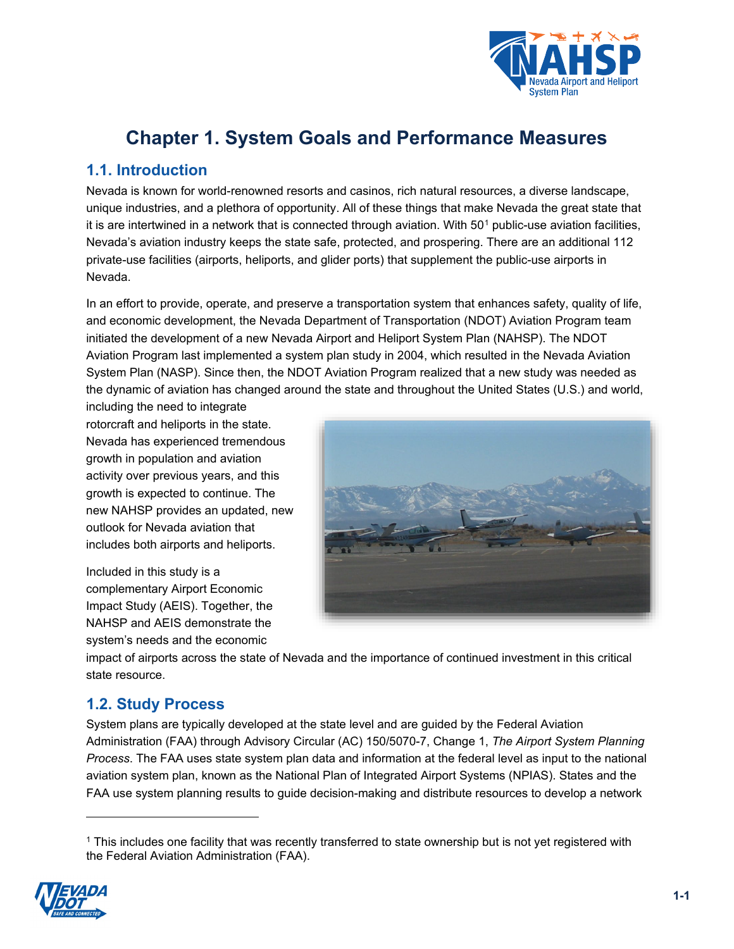

# **Chapter 1. System Goals and Performance Measures**

## **1.1. Introduction**

Nevada is known for world-renowned resorts and casinos, rich natural resources, a diverse landscape, unique industries, and a plethora of opportunity. All of these things that make Nevada the great state that it is are intertwined in a network that is connected through aviation. With  $50<sup>1</sup>$  $50<sup>1</sup>$  $50<sup>1</sup>$  public-use aviation facilities, Nevada's aviation industry keeps the state safe, protected, and prospering. There are an additional 112 private-use facilities (airports, heliports, and glider ports) that supplement the public-use airports in Nevada.

In an effort to provide, operate, and preserve a transportation system that enhances safety, quality of life, and economic development, the Nevada Department of Transportation (NDOT) Aviation Program team initiated the development of a new Nevada Airport and Heliport System Plan (NAHSP). The NDOT Aviation Program last implemented a system plan study in 2004, which resulted in the Nevada Aviation System Plan (NASP). Since then, the NDOT Aviation Program realized that a new study was needed as the dynamic of aviation has changed around the state and throughout the United States (U.S.) and world,

including the need to integrate rotorcraft and heliports in the state. Nevada has experienced tremendous growth in population and aviation activity over previous years, and this growth is expected to continue. The new NAHSP provides an updated, new outlook for Nevada aviation that includes both airports and heliports.

Included in this study is a complementary Airport Economic Impact Study (AEIS). Together, the NAHSP and AEIS demonstrate the system's needs and the economic



impact of airports across the state of Nevada and the importance of continued investment in this critical state resource.

### **1.2. Study Process**

System plans are typically developed at the state level and are guided by the Federal Aviation Administration (FAA) through Advisory Circular (AC) 150/5070-7, Change 1, *The Airport System Planning Process*. The FAA uses state system plan data and information at the federal level as input to the national aviation system plan, known as the National Plan of Integrated Airport Systems (NPIAS). States and the FAA use system planning results to guide decision-making and distribute resources to develop a network

<span id="page-0-0"></span><sup>&</sup>lt;sup>1</sup> This includes one facility that was recently transferred to state ownership but is not yet registered with the Federal Aviation Administration (FAA).

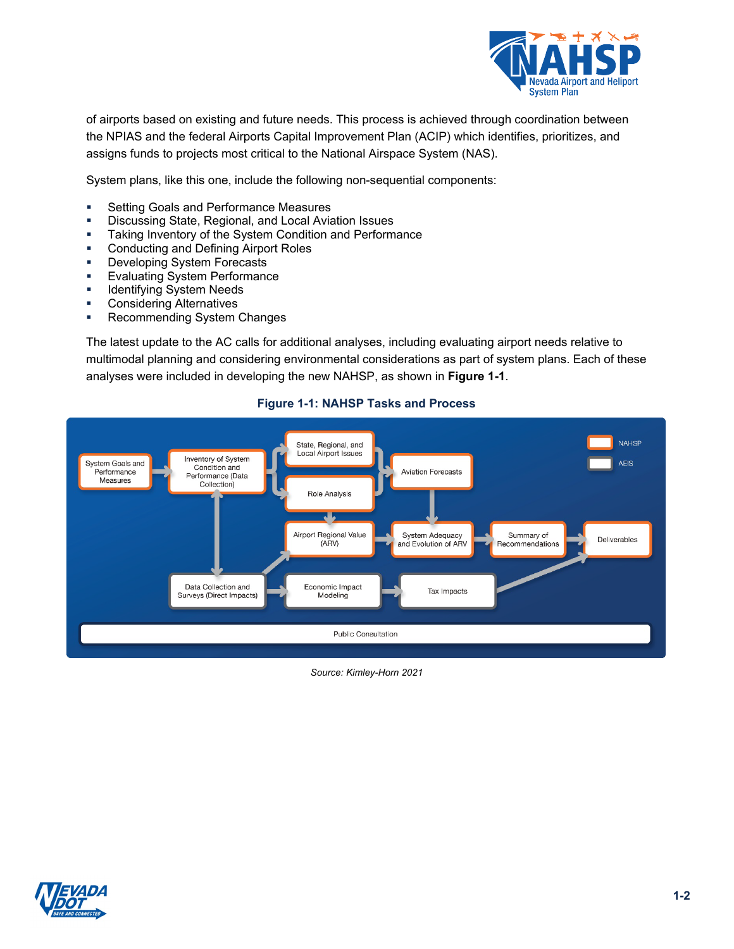

of airports based on existing and future needs. This process is achieved through coordination between the NPIAS and the federal Airports Capital Improvement Plan (ACIP) which identifies, prioritizes, and assigns funds to projects most critical to the National Airspace System (NAS).

System plans, like this one, include the following non-sequential components:

- **Setting Goals and Performance Measures**
- Discussing State, Regional, and Local Aviation Issues
- **Taking Inventory of the System Condition and Performance**
- **EXECONDUCTING AIR CONDUCT** Conducting and Defining Airport Roles
- **Developing System Forecasts**
- **Evaluating System Performance**
- **IDENTIFYING System Needs**
- **EXECONS** Considering Alternatives
- **Recommending System Changes**

The latest update to the AC calls for additional analyses, including evaluating airport needs relative to multimodal planning and considering environmental considerations as part of system plans. Each of these analyses were included in developing the new NAHSP, as shown in **[Figure](#page-1-0) 1-1**.

<span id="page-1-0"></span>

#### **Figure 1-1: NAHSP Tasks and Process**

*Source: Kimley-Horn 2021*

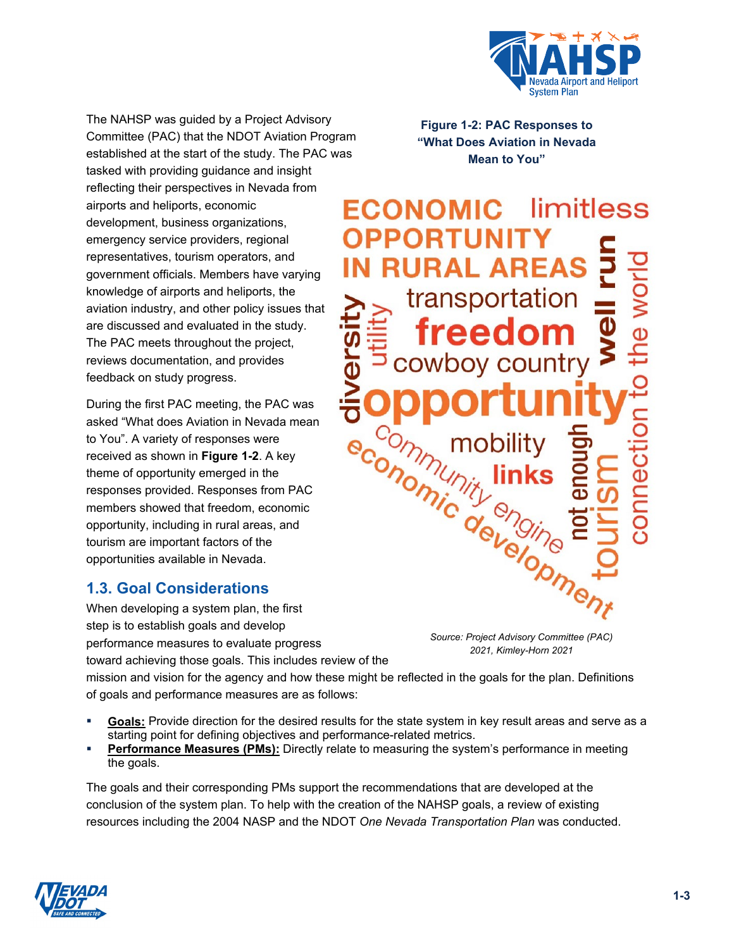

The NAHSP was guided by a Project Advisory Committee (PAC) that the NDOT Aviation Program established at the start of the study. The PAC was tasked with providing guidance and insight reflecting their perspectives in Nevada from airports and heliports, economic development, business organizations, emergency service providers, regional representatives, tourism operators, and government officials. Members have varying knowledge of airports and heliports, the aviation industry, and other policy issues that are discussed and evaluated in the study. The PAC meets throughout the project, reviews documentation, and provides feedback on study progress.

During the first PAC meeting, the PAC was asked "What does Aviation in Nevada mean to You". A variety of responses were received as shown in **[Figure 1-2](#page-2-0)**. A key theme of opportunity emerged in the responses provided. Responses from PAC members showed that freedom, economic opportunity, including in rural areas, and tourism are important factors of the opportunities available in Nevada.

# **1.3. Goal Considerations**

When developing a system plan, the first step is to establish goals and develop performance measures to evaluate progress toward achieving those goals. This includes review of the

<span id="page-2-0"></span>**Figure 1-2: PAC Responses to "What Does Aviation in Nevada Mean to You"**



*Source: Project Advisory Committee (PAC) 2021, Kimley-Horn 2021* 

mission and vision for the agency and how these might be reflected in the goals for the plan. Definitions of goals and performance measures are as follows:

- **Goals:** Provide direction for the desired results for the state system in key result areas and serve as a starting point for defining objectives and performance-related metrics.
- **Performance Measures (PMs):** Directly relate to measuring the system's performance in meeting the goals.

The goals and their corresponding PMs support the recommendations that are developed at the conclusion of the system plan. To help with the creation of the NAHSP goals, a review of existing resources including the 2004 NASP and the NDOT *One Nevada Transportation Plan* was conducted.

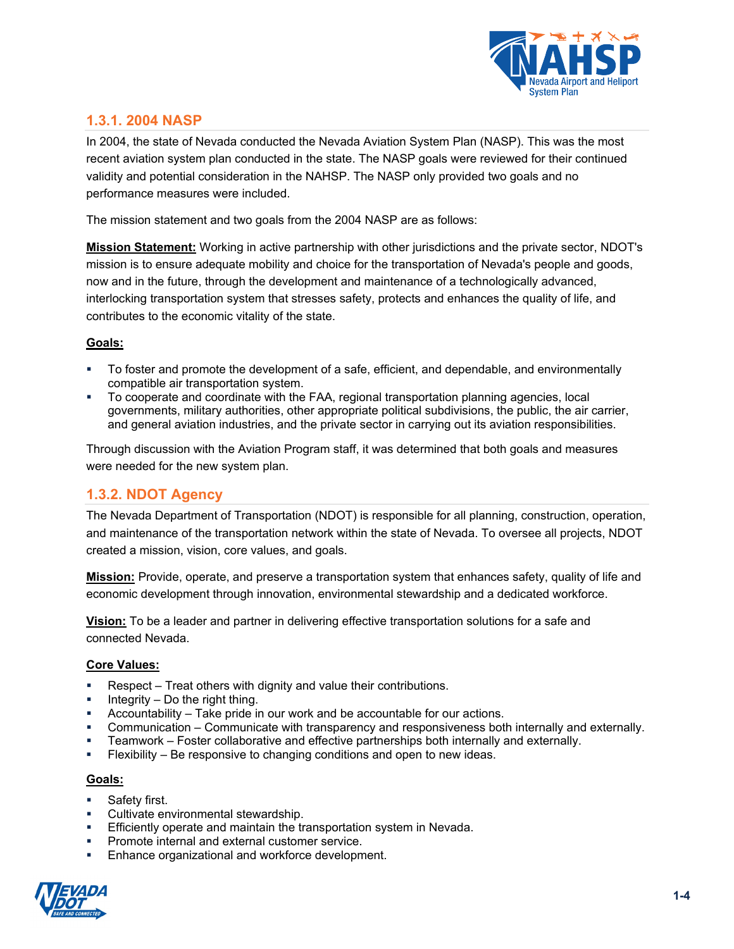

### **1.3.1. 2004 NASP**

In 2004, the state of Nevada conducted the Nevada Aviation System Plan (NASP). This was the most recent aviation system plan conducted in the state. The NASP goals were reviewed for their continued validity and potential consideration in the NAHSP. The NASP only provided two goals and no performance measures were included.

The mission statement and two goals from the 2004 NASP are as follows:

**Mission Statement:** Working in active partnership with other jurisdictions and the private sector, NDOT's mission is to ensure adequate mobility and choice for the transportation of Nevada's people and goods, now and in the future, through the development and maintenance of a technologically advanced, interlocking transportation system that stresses safety, protects and enhances the quality of life, and contributes to the economic vitality of the state.

#### **Goals:**

- To foster and promote the development of a safe, efficient, and dependable, and environmentally compatible air transportation system.
- To cooperate and coordinate with the FAA, regional transportation planning agencies, local governments, military authorities, other appropriate political subdivisions, the public, the air carrier, and general aviation industries, and the private sector in carrying out its aviation responsibilities.

Through discussion with the Aviation Program staff, it was determined that both goals and measures were needed for the new system plan.

### **1.3.2. NDOT Agency**

The Nevada Department of Transportation (NDOT) is responsible for all planning, construction, operation, and maintenance of the transportation network within the state of Nevada. To oversee all projects, NDOT created a mission, vision, core values, and goals.

**Mission:** Provide, operate, and preserve a transportation system that enhances safety, quality of life and economic development through innovation, environmental stewardship and a dedicated workforce.

**Vision:** To be a leader and partner in delivering effective transportation solutions for a safe and connected Nevada.

#### **Core Values:**

- Respect Treat others with dignity and value their contributions.
- Integrity Do the right thing.
- Accountability Take pride in our work and be accountable for our actions.
- Communication Communicate with transparency and responsiveness both internally and externally.
- Teamwork Foster collaborative and effective partnerships both internally and externally.
- Flexibility Be responsive to changing conditions and open to new ideas.

#### **Goals:**

- Safety first.
- Cultivate environmental stewardship.
- Efficiently operate and maintain the transportation system in Nevada.
- Promote internal and external customer service.
- Enhance organizational and workforce development.

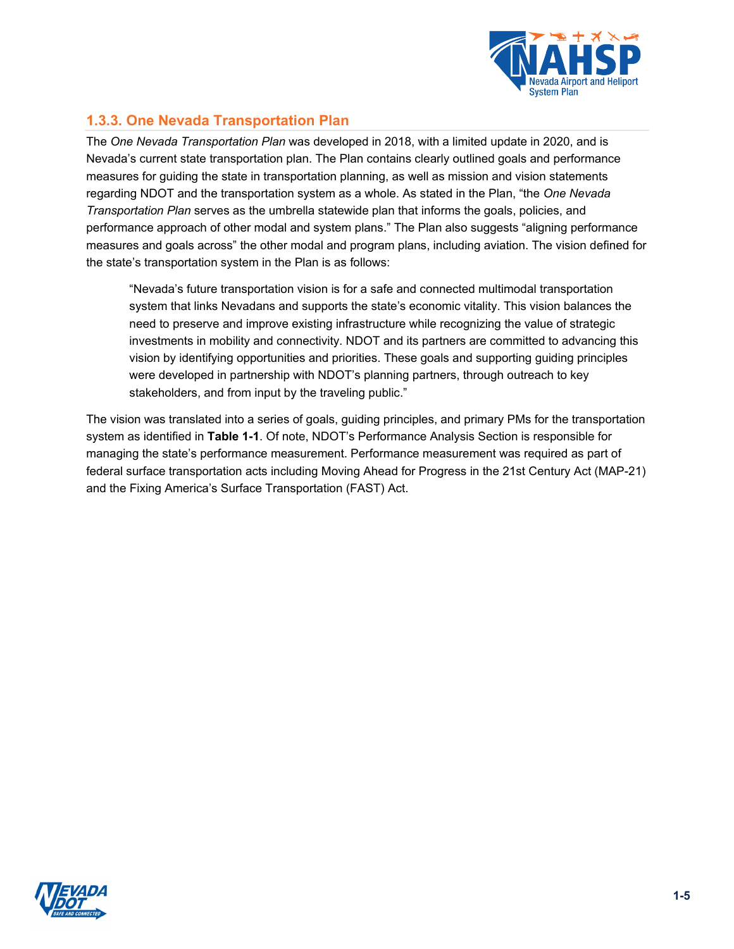

### **1.3.3. One Nevada Transportation Plan**

The *One Nevada Transportation Plan* was developed in 2018, with a limited update in 2020, and is Nevada's current state transportation plan. The Plan contains clearly outlined goals and performance measures for guiding the state in transportation planning, as well as mission and vision statements regarding NDOT and the transportation system as a whole. As stated in the Plan, "the *One Nevada Transportation Plan* serves as the umbrella statewide plan that informs the goals, policies, and performance approach of other modal and system plans." The Plan also suggests "aligning performance measures and goals across" the other modal and program plans, including aviation. The vision defined for the state's transportation system in the Plan is as follows:

"Nevada's future transportation vision is for a safe and connected multimodal transportation system that links Nevadans and supports the state's economic vitality. This vision balances the need to preserve and improve existing infrastructure while recognizing the value of strategic investments in mobility and connectivity. NDOT and its partners are committed to advancing this vision by identifying opportunities and priorities. These goals and supporting guiding principles were developed in partnership with NDOT's planning partners, through outreach to key stakeholders, and from input by the traveling public."

The vision was translated into a series of goals, guiding principles, and primary PMs for the transportation system as identified in **[Table 1-1](#page-5-0)**. Of note, NDOT's Performance Analysis Section is responsible for managing the state's performance measurement. Performance measurement was required as part of federal surface transportation acts including Moving Ahead for Progress in the 21st Century Act (MAP-21) and the Fixing America's Surface Transportation (FAST) Act.

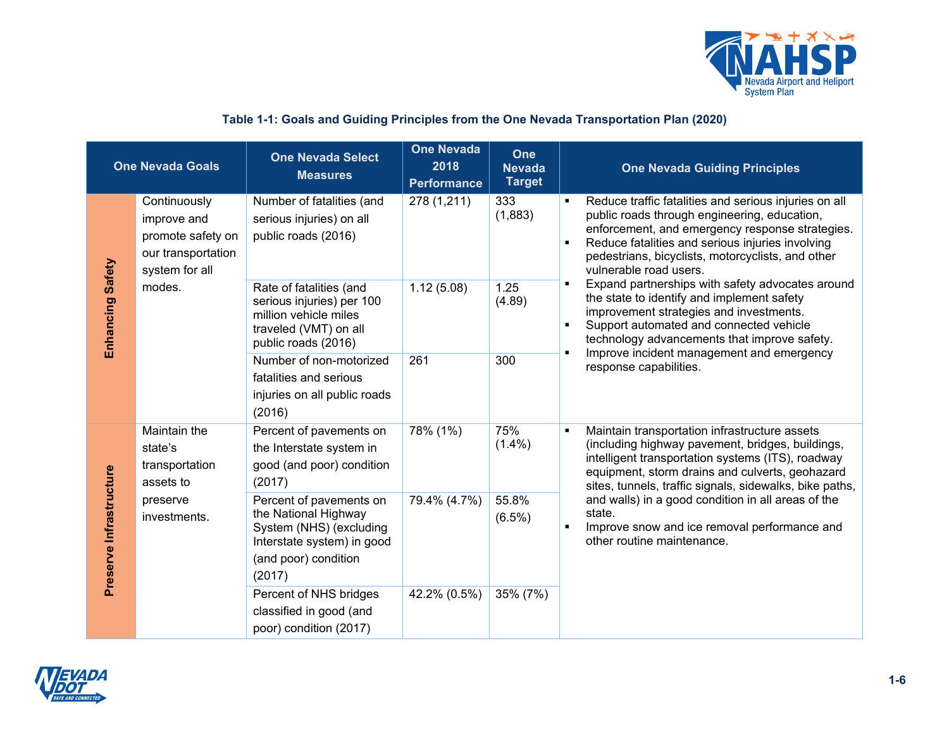

### **Table 1-1: Goals and Guiding Principles from the One Nevada Transportation Plan (2020)**

<span id="page-5-0"></span>

| <b>One Nevada Goals</b> |                                                                                          | <b>One Nevada Select</b><br><b>Measures</b>                                                                                      | <b>One Nevada</b><br>2018<br><b>Performance</b> | <b>One</b><br><b>Nevada</b><br><b>Target</b> | <b>One Nevada Guiding Principles</b>                                                                                                                                                                                                                                                                               |
|-------------------------|------------------------------------------------------------------------------------------|----------------------------------------------------------------------------------------------------------------------------------|-------------------------------------------------|----------------------------------------------|--------------------------------------------------------------------------------------------------------------------------------------------------------------------------------------------------------------------------------------------------------------------------------------------------------------------|
| Enhancing Safety        | Continuously<br>improve and<br>promote safety on<br>our transportation<br>system for all | Number of fatalities (and<br>serious injuries) on all<br>public roads (2016)                                                     | 278 (1,211)                                     | 333<br>(1,883)                               | Reduce traffic fatalities and serious injuries on all<br>٠<br>public roads through engineering, education,<br>enforcement, and emergency response strategies.<br>Reduce fatalities and serious injuries involving<br>$\blacksquare$<br>pedestrians, bicyclists, motorcyclists, and other<br>vulnerable road users. |
|                         | modes.                                                                                   | Rate of fatalities (and<br>serious injuries) per 100<br>million vehicle miles<br>traveled (VMT) on all<br>public roads (2016)    | 1.12(5.08)                                      | 1.25<br>(4.89)                               | Expand partnerships with safety advocates around<br>$\blacksquare$<br>the state to identify and implement safety<br>improvement strategies and investments.<br>Support automated and connected vehicle<br>٠<br>technology advancements that improve safety.                                                        |
|                         |                                                                                          | Number of non-motorized<br>fatalities and serious<br>injuries on all public roads<br>(2016)                                      | 261                                             | 300                                          | Improve incident management and emergency<br>response capabilities.                                                                                                                                                                                                                                                |
|                         | Maintain the<br>state's<br>transportation<br>assets to                                   | Percent of pavements on<br>the Interstate system in<br>good (and poor) condition<br>(2017)                                       | 78% (1%)                                        | 75%<br>$(1.4\%)$                             | Maintain transportation infrastructure assets<br>$\blacksquare$<br>(including highway pavement, bridges, buildings,<br>intelligent transportation systems (ITS), roadway<br>equipment, storm drains and culverts, geohazard<br>sites, tunnels, traffic signals, sidewalks, bike paths,                             |
| Preserve Infrastructure | preserve<br>investments.                                                                 | Percent of pavements on<br>the National Highway<br>System (NHS) (excluding<br>Interstate system) in good<br>(and poor) condition | 79.4% (4.7%)                                    | 55.8%<br>$(6.5\%)$                           | and walls) in a good condition in all areas of the<br>state.<br>Improve snow and ice removal performance and<br>other routine maintenance.                                                                                                                                                                         |
|                         |                                                                                          | (2017)<br>Percent of NHS bridges<br>classified in good (and<br>poor) condition (2017)                                            | 42.2% (0.5%)                                    | 35% (7%)                                     |                                                                                                                                                                                                                                                                                                                    |

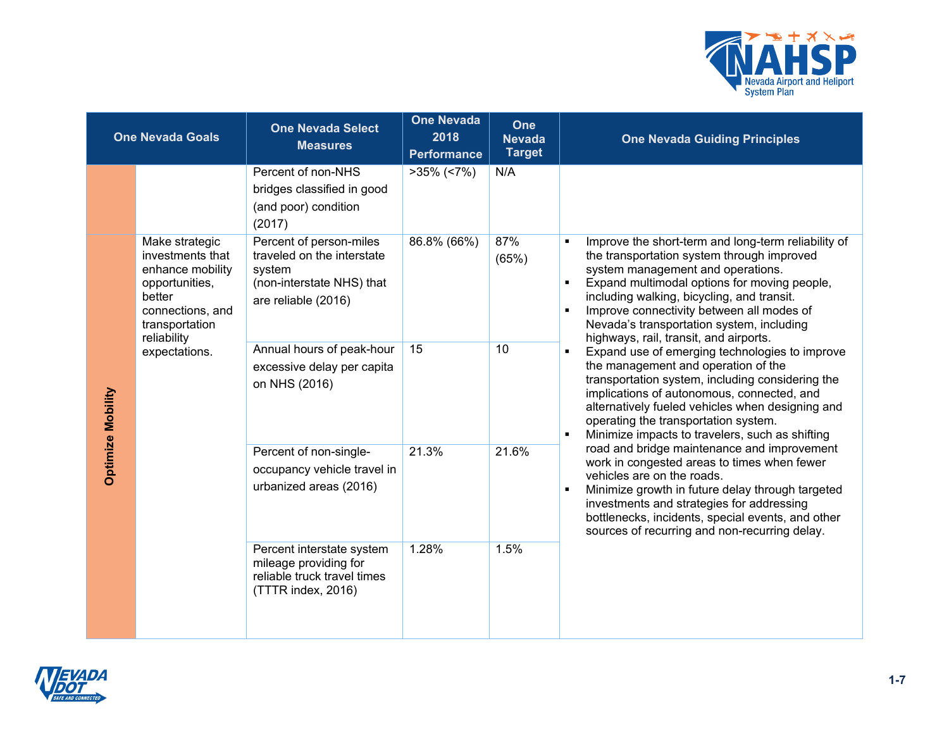

| <b>One Nevada Goals</b>  |                                                                                                                                                          | <b>One Nevada Select</b><br><b>Measures</b>                                                                         | <b>One Nevada</b><br>2018<br><b>Performance</b> | One<br><b>Nevada</b><br><b>Target</b> | <b>One Nevada Guiding Principles</b>                                                                                                                                                                                                                                                                                                                                                                                           |  |
|--------------------------|----------------------------------------------------------------------------------------------------------------------------------------------------------|---------------------------------------------------------------------------------------------------------------------|-------------------------------------------------|---------------------------------------|--------------------------------------------------------------------------------------------------------------------------------------------------------------------------------------------------------------------------------------------------------------------------------------------------------------------------------------------------------------------------------------------------------------------------------|--|
|                          |                                                                                                                                                          | Percent of non-NHS<br>bridges classified in good<br>(and poor) condition<br>(2017)                                  | $>35\%$ (<7%)                                   | N/A                                   |                                                                                                                                                                                                                                                                                                                                                                                                                                |  |
| <b>Optimize Mobility</b> | Make strategic<br>investments that<br>enhance mobility<br>opportunities,<br>better<br>connections, and<br>transportation<br>reliability<br>expectations. | Percent of person-miles<br>traveled on the interstate<br>system<br>(non-interstate NHS) that<br>are reliable (2016) | 86.8% (66%)                                     | 87%<br>(65%)                          | Improve the short-term and long-term reliability of<br>$\blacksquare$<br>the transportation system through improved<br>system management and operations.<br>Expand multimodal options for moving people,<br>$\blacksquare$<br>including walking, bicycling, and transit.<br>Improve connectivity between all modes of<br>$\blacksquare$<br>Nevada's transportation system, including<br>highways, rail, transit, and airports. |  |
|                          |                                                                                                                                                          | Annual hours of peak-hour<br>excessive delay per capita<br>on NHS (2016)                                            | 15                                              | 10                                    | Expand use of emerging technologies to improve<br>$\blacksquare$<br>the management and operation of the<br>transportation system, including considering the<br>implications of autonomous, connected, and<br>alternatively fueled vehicles when designing and<br>operating the transportation system.<br>Minimize impacts to travelers, such as shifting<br>$\blacksquare$                                                     |  |
|                          |                                                                                                                                                          | Percent of non-single-<br>occupancy vehicle travel in<br>urbanized areas (2016)                                     | 21.3%                                           | 21.6%                                 | road and bridge maintenance and improvement<br>work in congested areas to times when fewer<br>vehicles are on the roads.<br>Minimize growth in future delay through targeted<br>٠<br>investments and strategies for addressing<br>bottlenecks, incidents, special events, and other<br>sources of recurring and non-recurring delay.                                                                                           |  |
|                          |                                                                                                                                                          | Percent interstate system<br>mileage providing for<br>reliable truck travel times<br>(TTTR index, 2016)             | 1.28%                                           | 1.5%                                  |                                                                                                                                                                                                                                                                                                                                                                                                                                |  |

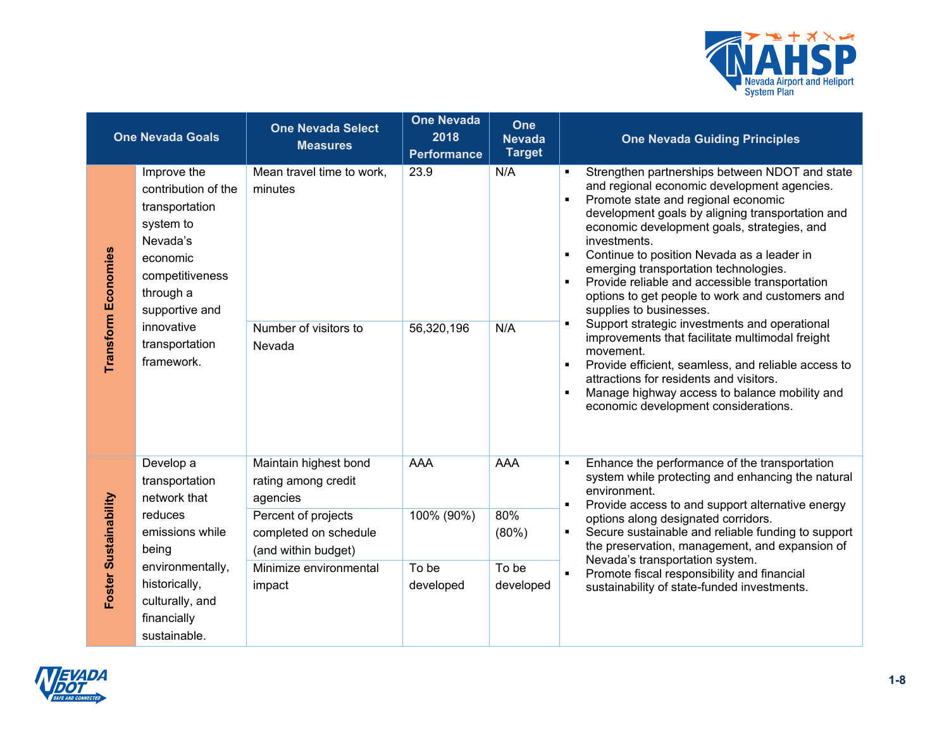

| <b>One Nevada Goals</b>    |                                                                                                                                             | <b>One Nevada Select</b><br><b>Measures</b>                         | <b>One Nevada</b><br>2018<br><b>Performance</b> | <b>One</b><br><b>Nevada</b><br><b>Target</b> | <b>One Nevada Guiding Principles</b>                                 |                                                                                                                                                                                                                                                                                                                                                                                                                                                                                                                                                                                                                                                                                                                                                                                            |
|----------------------------|---------------------------------------------------------------------------------------------------------------------------------------------|---------------------------------------------------------------------|-------------------------------------------------|----------------------------------------------|----------------------------------------------------------------------|--------------------------------------------------------------------------------------------------------------------------------------------------------------------------------------------------------------------------------------------------------------------------------------------------------------------------------------------------------------------------------------------------------------------------------------------------------------------------------------------------------------------------------------------------------------------------------------------------------------------------------------------------------------------------------------------------------------------------------------------------------------------------------------------|
| <b>Transform Economies</b> | Improve the<br>contribution of the<br>transportation<br>system to<br>Nevada's<br>economic<br>competitiveness<br>through a<br>supportive and | Mean travel time to work,<br>minutes                                | 23.9                                            | N/A                                          | $\blacksquare$<br>$\blacksquare$<br>$\blacksquare$<br>$\blacksquare$ | Strengthen partnerships between NDOT and state<br>and regional economic development agencies.<br>Promote state and regional economic<br>development goals by aligning transportation and<br>economic development goals, strategies, and<br>investments.<br>Continue to position Nevada as a leader in<br>emerging transportation technologies.<br>Provide reliable and accessible transportation<br>options to get people to work and customers and<br>supplies to businesses.<br>Support strategic investments and operational<br>improvements that facilitate multimodal freight<br>movement.<br>Provide efficient, seamless, and reliable access to<br>attractions for residents and visitors.<br>Manage highway access to balance mobility and<br>economic development considerations. |
|                            | innovative<br>transportation<br>framework.                                                                                                  | Number of visitors to<br>Nevada                                     | 56,320,196                                      | N/A                                          | $\blacksquare$<br>$\blacksquare$<br>$\blacksquare$                   |                                                                                                                                                                                                                                                                                                                                                                                                                                                                                                                                                                                                                                                                                                                                                                                            |
|                            | Develop a<br>transportation<br>network that                                                                                                 | Maintain highest bond<br>rating among credit<br>agencies            | <b>AAA</b>                                      | <b>AAA</b>                                   | $\blacksquare$<br>٠                                                  | Enhance the performance of the transportation<br>system while protecting and enhancing the natural<br>environment.<br>Provide access to and support alternative energy                                                                                                                                                                                                                                                                                                                                                                                                                                                                                                                                                                                                                     |
| Foster Sustainability      | reduces<br>emissions while<br>being                                                                                                         | Percent of projects<br>completed on schedule<br>(and within budget) | 100% (90%)                                      | 80%<br>(80%)                                 | $\blacksquare$                                                       | options along designated corridors.<br>Secure sustainable and reliable funding to support<br>the preservation, management, and expansion of<br>Nevada's transportation system.                                                                                                                                                                                                                                                                                                                                                                                                                                                                                                                                                                                                             |
|                            | environmentally,<br>historically,<br>culturally, and<br>financially<br>sustainable.                                                         | Minimize environmental<br>impact                                    | To be<br>developed                              | To be<br>developed                           | $\blacksquare$                                                       | Promote fiscal responsibility and financial<br>sustainability of state-funded investments.                                                                                                                                                                                                                                                                                                                                                                                                                                                                                                                                                                                                                                                                                                 |

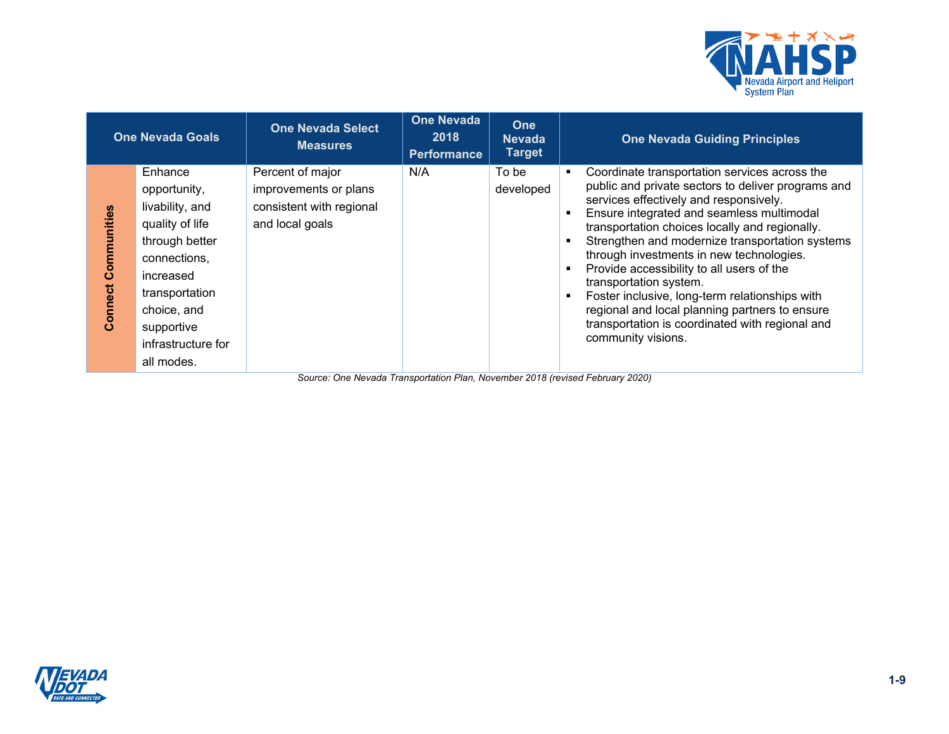

| <b>One Nevada Goals</b>       |                                                                                                                                                                                                 | <b>One Nevada Select</b><br><b>Measures</b>                                              | <b>One Nevada</b><br>2018<br><b>Performance</b> | <b>One</b><br><b>Nevada</b><br><b>Target</b>                              | <b>One Nevada Guiding Principles</b>                                                                                                                                                                                                                                                                                                                                                                                                                                                                                                                                                                                                                                         |
|-------------------------------|-------------------------------------------------------------------------------------------------------------------------------------------------------------------------------------------------|------------------------------------------------------------------------------------------|-------------------------------------------------|---------------------------------------------------------------------------|------------------------------------------------------------------------------------------------------------------------------------------------------------------------------------------------------------------------------------------------------------------------------------------------------------------------------------------------------------------------------------------------------------------------------------------------------------------------------------------------------------------------------------------------------------------------------------------------------------------------------------------------------------------------------|
| Communities<br><b>Connect</b> | Enhance<br>opportunity,<br>livability, and<br>quality of life<br>through better<br>connections,<br>increased<br>transportation<br>choice, and<br>supportive<br>infrastructure for<br>all modes. | Percent of major<br>improvements or plans<br>consistent with regional<br>and local goals | N/A                                             | To be<br>developed<br>$\cdot$ and $\cdot$ $\cdot$ $\cdot$ $\cdot$ $\cdot$ | Coordinate transportation services across the<br>٠<br>public and private sectors to deliver programs and<br>services effectively and responsively.<br>Ensure integrated and seamless multimodal<br>$\blacksquare$<br>transportation choices locally and regionally.<br>Strengthen and modernize transportation systems<br>$\blacksquare$<br>through investments in new technologies.<br>Provide accessibility to all users of the<br>$\blacksquare$<br>transportation system.<br>Foster inclusive, long-term relationships with<br>$\blacksquare$<br>regional and local planning partners to ensure<br>transportation is coordinated with regional and<br>community visions. |

*Source: One Nevada Transportation Plan, November 2018 (revised February 2020)*

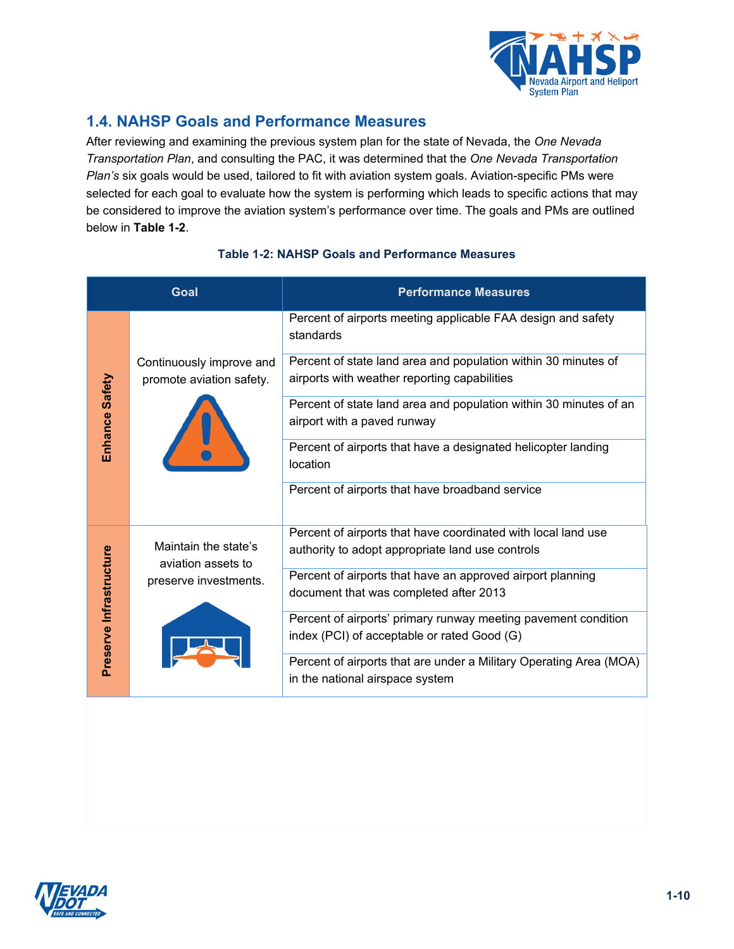

# **1.4. NAHSP Goals and Performance Measures**

After reviewing and examining the previous system plan for the state of Nevada, the *One Nevada Transportation Plan*, and consulting the PAC, it was determined that the *One Nevada Transportation Plan's* six goals would be used, tailored to fit with aviation system goals. Aviation-specific PMs were selected for each goal to evaluate how the system is performing which leads to specific actions that may be considered to improve the aviation system's performance over time. The goals and PMs are outlined below in **[Table 1-2](#page-9-0)**.

<span id="page-9-0"></span>

|                         | <b>Goal</b>                                          | <b>Performance Measures</b>                                                                                       |  |  |  |  |
|-------------------------|------------------------------------------------------|-------------------------------------------------------------------------------------------------------------------|--|--|--|--|
| Enhance Safety          |                                                      | Percent of airports meeting applicable FAA design and safety<br>standards                                         |  |  |  |  |
|                         | Continuously improve and<br>promote aviation safety. | Percent of state land area and population within 30 minutes of<br>airports with weather reporting capabilities    |  |  |  |  |
|                         |                                                      | Percent of state land area and population within 30 minutes of an<br>airport with a paved runway                  |  |  |  |  |
|                         |                                                      | Percent of airports that have a designated helicopter landing<br>location                                         |  |  |  |  |
|                         |                                                      | Percent of airports that have broadband service                                                                   |  |  |  |  |
| Preserve Infrastructure | Maintain the state's                                 | Percent of airports that have coordinated with local land use<br>authority to adopt appropriate land use controls |  |  |  |  |
|                         | aviation assets to<br>preserve investments.          | Percent of airports that have an approved airport planning<br>document that was completed after 2013              |  |  |  |  |
|                         |                                                      | Percent of airports' primary runway meeting pavement condition<br>index (PCI) of acceptable or rated Good (G)     |  |  |  |  |
|                         |                                                      | Percent of airports that are under a Military Operating Area (MOA)<br>in the national airspace system             |  |  |  |  |
|                         |                                                      |                                                                                                                   |  |  |  |  |

### **Table 1-2: NAHSP Goals and Performance Measures**

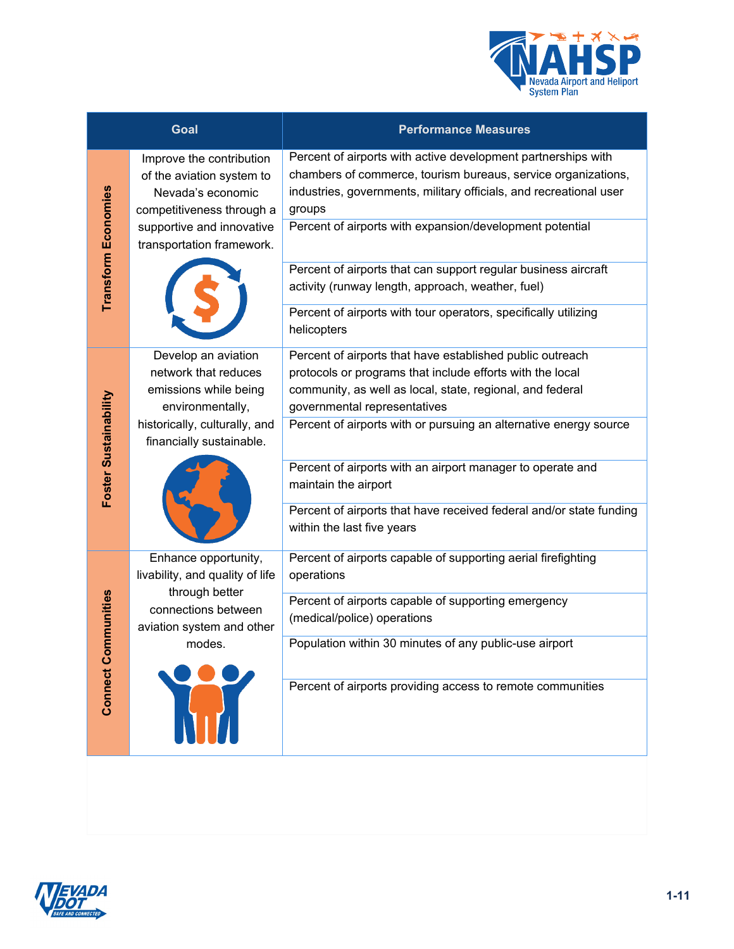

|                         | <b>Goal</b>                                                                                             | <b>Performance Measures</b>                                                                                                                                                                                    |
|-------------------------|---------------------------------------------------------------------------------------------------------|----------------------------------------------------------------------------------------------------------------------------------------------------------------------------------------------------------------|
| Transform Economies     | Improve the contribution<br>of the aviation system to<br>Nevada's economic<br>competitiveness through a | Percent of airports with active development partnerships with<br>chambers of commerce, tourism bureaus, service organizations,<br>industries, governments, military officials, and recreational user<br>groups |
|                         | supportive and innovative<br>transportation framework.                                                  | Percent of airports with expansion/development potential                                                                                                                                                       |
|                         |                                                                                                         | Percent of airports that can support regular business aircraft<br>activity (runway length, approach, weather, fuel)                                                                                            |
|                         |                                                                                                         | Percent of airports with tour operators, specifically utilizing<br>helicopters                                                                                                                                 |
|                         | Develop an aviation<br>network that reduces                                                             | Percent of airports that have established public outreach<br>protocols or programs that include efforts with the local                                                                                         |
| Foster Sustainability   | emissions while being<br>environmentally,                                                               | community, as well as local, state, regional, and federal<br>governmental representatives                                                                                                                      |
|                         | historically, culturally, and<br>financially sustainable.                                               | Percent of airports with or pursuing an alternative energy source                                                                                                                                              |
|                         |                                                                                                         | Percent of airports with an airport manager to operate and<br>maintain the airport                                                                                                                             |
|                         |                                                                                                         | Percent of airports that have received federal and/or state funding<br>within the last five years                                                                                                              |
| ommunities<br>Connect C | Enhance opportunity,<br>livability, and quality of life                                                 | Percent of airports capable of supporting aerial firefighting<br>operations                                                                                                                                    |
|                         | through better<br>connections between<br>aviation system and other                                      | Percent of airports capable of supporting emergency<br>(medical/police) operations                                                                                                                             |
|                         | modes.                                                                                                  | Population within 30 minutes of any public-use airport                                                                                                                                                         |
|                         |                                                                                                         | Percent of airports providing access to remote communities                                                                                                                                                     |